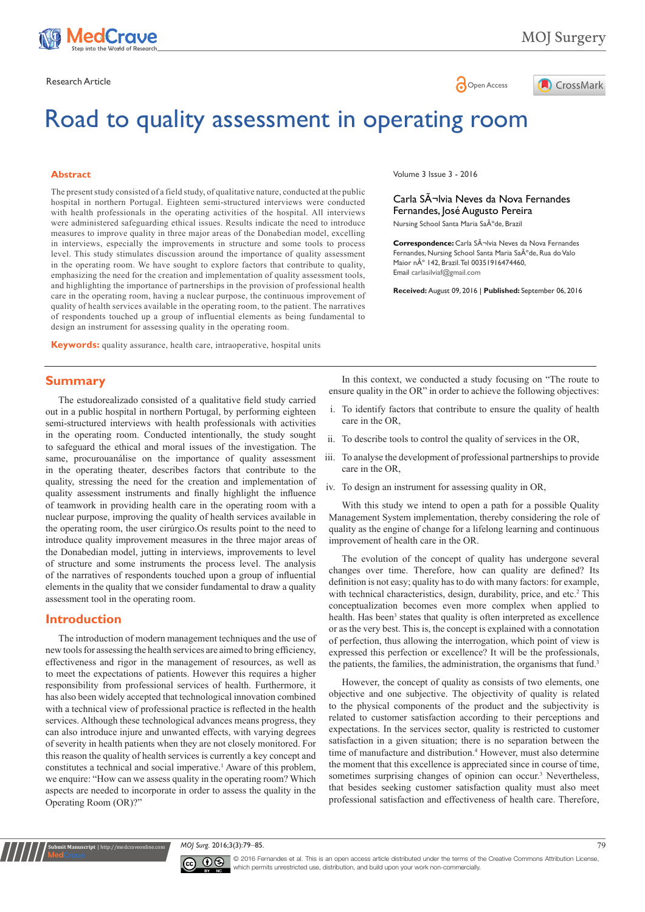

MOJ Surgery



# Road to quality assessment in operating room

### **Abstract**

The present study consisted of a field study, of qualitative nature, conducted at the public hospital in northern Portugal. Eighteen semi-structured interviews were conducted with health professionals in the operating activities of the hospital. All interviews were administered safeguarding ethical issues. Results indicate the need to introduce measures to improve quality in three major areas of the Donabedian model, excelling in interviews, especially the improvements in structure and some tools to process level. This study stimulates discussion around the importance of quality assessment in the operating room. We have sought to explore factors that contribute to quality, emphasizing the need for the creation and implementation of quality assessment tools, and highlighting the importance of partnerships in the provision of professional health care in the operating room, having a nuclear purpose, the continuous improvement of quality of health services available in the operating room, to the patient. The narratives of respondents touched up a group of influential elements as being fundamental to design an instrument for assessing quality in the operating room.

**Keywords:** quality assurance, health care, intraoperative, hospital units

Volume 3 Issue 3 - 2016

Carla SA-Ivia Neves da Nova Fernandes Fernandes, José Augusto Pereira

Nursing School Santa Maria Saðde, Brazil

Correspondence: Carla SÃ-Ivia Neves da Nova Fernandes Fernandes, Nursing School Santa Maria Saðde, Rua do Valo Maior n° 142, Brazil. Tel 00351916474460, Email carlasilviaf@gmail.com

**Received:** August 09, 2016 | **Published:** September 06, 2016

# **Summary**

The estudorealizado consisted of a qualitative field study carried out in a public hospital in northern Portugal, by performing eighteen semi-structured interviews with health professionals with activities in the operating room. Conducted intentionally, the study sought to safeguard the ethical and moral issues of the investigation. The same, procurouanálise on the importance of quality assessment in the operating theater, describes factors that contribute to the quality, stressing the need for the creation and implementation of quality assessment instruments and finally highlight the influence of teamwork in providing health care in the operating room with a nuclear purpose, improving the quality of health services available in the operating room, the user cirúrgico.Os results point to the need to introduce quality improvement measures in the three major areas of the Donabedian model, jutting in interviews, improvements to level of structure and some instruments the process level. The analysis of the narratives of respondents touched upon a group of influential elements in the quality that we consider fundamental to draw a quality assessment tool in the operating room.

# **Introduction**

**it Manuscript** | http://medcraveonline

The introduction of modern management techniques and the use of new tools for assessing the health services are aimed to bring efficiency, effectiveness and rigor in the management of resources, as well as to meet the expectations of patients. However this requires a higher responsibility from professional services of health. Furthermore, it has also been widely accepted that technological innovation combined with a technical view of professional practice is reflected in the health services. Although these technological advances means progress, they can also introduce injure and unwanted effects, with varying degrees of severity in health patients when they are not closely monitored. For this reason the quality of health services is currently a key concept and constitutes a technical and social imperative.<sup>1</sup> Aware of this problem, we enquire: "How can we assess quality in the operating room? Which aspects are needed to incorporate in order to assess the quality in the Operating Room (OR)?"

In this context, we conducted a study focusing on "The route to ensure quality in the OR" in order to achieve the following objectives:

- i. To identify factors that contribute to ensure the quality of health care in the OR,
- ii. To describe tools to control the quality of services in the OR,
- iii. To analyse the development of professional partnerships to provide care in the OR,
- iv. To design an instrument for assessing quality in OR,

With this study we intend to open a path for a possible Quality Management System implementation, thereby considering the role of quality as the engine of change for a lifelong learning and continuous improvement of health care in the OR.

The evolution of the concept of quality has undergone several changes over time. Therefore, how can quality are defined? Its definition is not easy; quality has to do with many factors: for example, with technical characteristics, design, durability, price, and etc.<sup>2</sup> This conceptualization becomes even more complex when applied to health. Has been<sup>3</sup> states that quality is often interpreted as excellence or as the very best. This is, the concept is explained with a connotation of perfection, thus allowing the interrogation, which point of view is expressed this perfection or excellence? It will be the professionals, the patients, the families, the administration, the organisms that fund.<sup>3</sup>

However, the concept of quality as consists of two elements, one objective and one subjective. The objectivity of quality is related to the physical components of the product and the subjectivity is related to customer satisfaction according to their perceptions and expectations. In the services sector, quality is restricted to customer satisfaction in a given situation; there is no separation between the time of manufacture and distribution.<sup>4</sup> However, must also determine the moment that this excellence is appreciated since in course of time, sometimes surprising changes of opinion can occur.<sup>3</sup> Nevertheless, that besides seeking customer satisfaction quality must also meet professional satisfaction and effectiveness of health care. Therefore,

*MOJ Surg.* 2016;3(3):79‒85. 79



© 2016 Fernandes et al. This is an open access article distributed under the terms of the [Creative Commons Attribution License](https://creativecommons.org/licenses/by-nc/4.0/), which permits unrestricted use, distribution, and build upon your work non-commercially.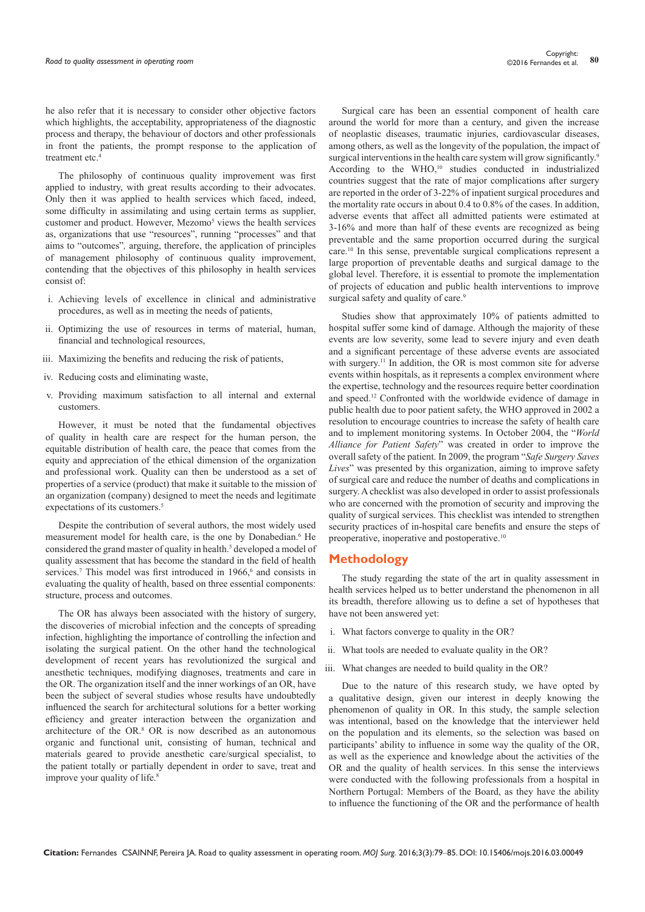he also refer that it is necessary to consider other objective factors which highlights, the acceptability, appropriateness of the diagnostic process and therapy, the behaviour of doctors and other professionals in front the patients, the prompt response to the application of treatment etc.<sup>4</sup>

The philosophy of continuous quality improvement was first applied to industry, with great results according to their advocates. Only then it was applied to health services which faced, indeed, some difficulty in assimilating and using certain terms as supplier, customer and product. However, Mezomo<sup>5</sup> views the health services as, organizations that use "resources", running "processes" and that aims to "outcomes"*,* arguing, therefore, the application of principles of management philosophy of continuous quality improvement, contending that the objectives of this philosophy in health services consist of:

- i. Achieving levels of excellence in clinical and administrative procedures, as well as in meeting the needs of patients,
- ii. Optimizing the use of resources in terms of material, human, financial and technological resources,
- iii. Maximizing the benefits and reducing the risk of patients,
- iv. Reducing costs and eliminating waste,
- v. Providing maximum satisfaction to all internal and external customers.

However, it must be noted that the fundamental objectives of quality in health care are respect for the human person, the equitable distribution of health care, the peace that comes from the equity and appreciation of the ethical dimension of the organization and professional work. Quality can then be understood as a set of properties of a service (product) that make it suitable to the mission of an organization (company) designed to meet the needs and legitimate expectations of its customers.<sup>5</sup>

Despite the contribution of several authors, the most widely used measurement model for health care, is the one by Donabedian.<sup>6</sup> He considered the grand master of quality in health.<sup>5</sup> developed a model of quality assessment that has become the standard in the field of health services.<sup>7</sup> This model was first introduced in 1966,<sup>6</sup> and consists in evaluating the quality of health, based on three essential components: structure, process and outcomes.

The OR has always been associated with the history of surgery, the discoveries of microbial infection and the concepts of spreading infection, highlighting the importance of controlling the infection and isolating the surgical patient. On the other hand the technological development of recent years has revolutionized the surgical and anesthetic techniques, modifying diagnoses, treatments and care in the OR. The organization itself and the inner workings of an OR, have been the subject of several studies whose results have undoubtedly influenced the search for architectural solutions for a better working efficiency and greater interaction between the organization and architecture of the  $OR<sup>8</sup> OR$  is now described as an autonomous organic and functional unit, consisting of human, technical and materials geared to provide anesthetic care/surgical specialist, to the patient totally or partially dependent in order to save, treat and improve your quality of life.<sup>8</sup>

Surgical care has been an essential component of health care around the world for more than a century, and given the increase of neoplastic diseases, traumatic injuries, cardiovascular diseases, among others, as well as the longevity of the population, the impact of surgical interventions in the health care system will grow significantly.<sup>9</sup> According to the WHO,<sup>10</sup> studies conducted in industrialized countries suggest that the rate of major complications after surgery are reported in the order of 3-22% of inpatient surgical procedures and the mortality rate occurs in about 0.4 to 0.8% of the cases. In addition, adverse events that affect all admitted patients were estimated at 3-16% and more than half of these events are recognized as being preventable and the same proportion occurred during the surgical care.<sup>10</sup> In this sense, preventable surgical complications represent a large proportion of preventable deaths and surgical damage to the global level. Therefore, it is essential to promote the implementation of projects of education and public health interventions to improve surgical safety and quality of care.<sup>9</sup>

Studies show that approximately 10% of patients admitted to hospital suffer some kind of damage. Although the majority of these events are low severity, some lead to severe injury and even death and a significant percentage of these adverse events are associated with surgery.<sup>11</sup> In addition, the OR is most common site for adverse events within hospitals, as it represents a complex environment where the expertise, technology and the resources require better coordination and speed.<sup>12</sup> Confronted with the worldwide evidence of damage in public health due to poor patient safety, the WHO approved in 2002 a resolution to encourage countries to increase the safety of health care and to implement monitoring systems. In October 2004, the "*World Alliance for Patient Safety*" was created in order to improve the overall safety of the patient. In 2009, the program "*Safe Surgery Saves Lives*" was presented by this organization, aiming to improve safety of surgical care and reduce the number of deaths and complications in surgery. A checklist was also developed in order to assist professionals who are concerned with the promotion of security and improving the quality of surgical services. This checklist was intended to strengthen security practices of in-hospital care benefits and ensure the steps of preoperative, inoperative and postoperative.<sup>10</sup>

## **Methodology**

The study regarding the state of the art in quality assessment in health services helped us to better understand the phenomenon in all its breadth, therefore allowing us to define a set of hypotheses that have not been answered yet:

- i. What factors converge to quality in the OR?
- ii. What tools are needed to evaluate quality in the OR?
- iii. What changes are needed to build quality in the OR?

Due to the nature of this research study, we have opted by a qualitative design, given our interest in deeply knowing the phenomenon of quality in OR. In this study, the sample selection was intentional, based on the knowledge that the interviewer held on the population and its elements, so the selection was based on participants' ability to influence in some way the quality of the OR, as well as the experience and knowledge about the activities of the OR and the quality of health services. In this sense the interviews were conducted with the following professionals from a hospital in Northern Portugal: Members of the Board, as they have the ability to influence the functioning of the OR and the performance of health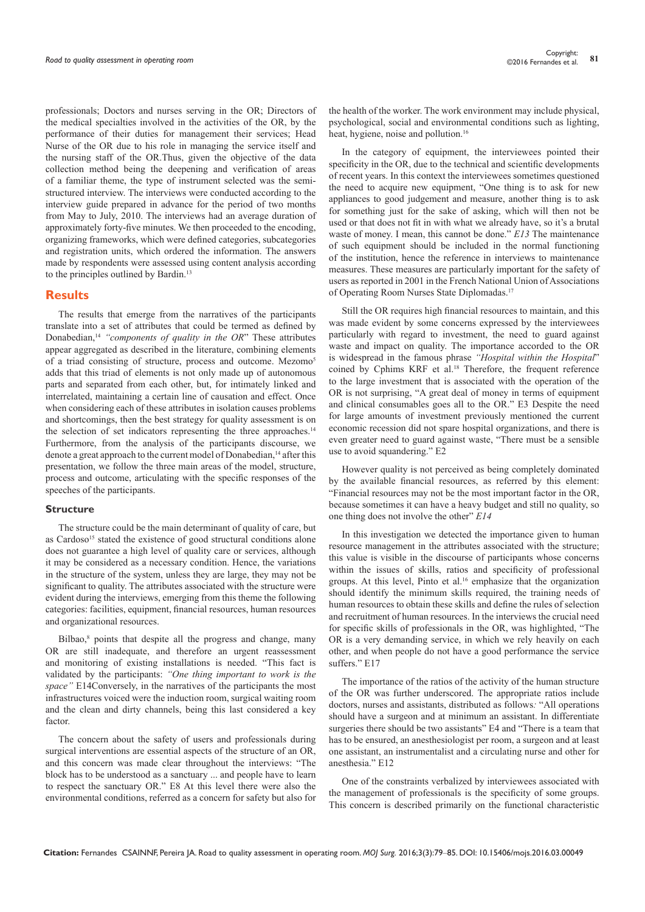professionals; Doctors and nurses serving in the OR; Directors of the medical specialties involved in the activities of the OR, by the performance of their duties for management their services; Head Nurse of the OR due to his role in managing the service itself and the nursing staff of the OR.Thus, given the objective of the data collection method being the deepening and verification of areas of a familiar theme, the type of instrument selected was the semistructured interview. The interviews were conducted according to the interview guide prepared in advance for the period of two months from May to July, 2010. The interviews had an average duration of approximately forty-five minutes. We then proceeded to the encoding, organizing frameworks, which were defined categories, subcategories and registration units, which ordered the information. The answers made by respondents were assessed using content analysis according to the principles outlined by Bardin.<sup>13</sup>

## **Results**

The results that emerge from the narratives of the participants translate into a set of attributes that could be termed as defined by Donabedian,14 *"components of quality in the OR*" These attributes appear aggregated as described in the literature, combining elements of a triad consisting of structure, process and outcome. Mezomo<sup>5</sup> adds that this triad of elements is not only made up of autonomous parts and separated from each other, but, for intimately linked and interrelated, maintaining a certain line of causation and effect. Once when considering each of these attributes in isolation causes problems and shortcomings, then the best strategy for quality assessment is on the selection of set indicators representing the three approaches.<sup>14</sup> Furthermore, from the analysis of the participants discourse, we denote a great approach to the current model of Donabedian,<sup>14</sup> after this presentation, we follow the three main areas of the model, structure, process and outcome, articulating with the specific responses of the speeches of the participants.

#### **Structure**

The structure could be the main determinant of quality of care, but as Cardoso<sup>15</sup> stated the existence of good structural conditions alone does not guarantee a high level of quality care or services, although it may be considered as a necessary condition. Hence, the variations in the structure of the system, unless they are large, they may not be significant to quality. The attributes associated with the structure were evident during the interviews, emerging from this theme the following categories: facilities, equipment, financial resources, human resources and organizational resources.

Bilbao,<sup>8</sup> points that despite all the progress and change, many OR are still inadequate, and therefore an urgent reassessment and monitoring of existing installations is needed. "This fact is validated by the participants: *"One thing important to work is the space"* E14Conversely, in the narratives of the participants the most infrastructures voiced were the induction room, surgical waiting room and the clean and dirty channels, being this last considered a key factor.

The concern about the safety of users and professionals during surgical interventions are essential aspects of the structure of an OR, and this concern was made clear throughout the interviews: "The block has to be understood as a sanctuary ... and people have to learn to respect the sanctuary OR." E8 At this level there were also the environmental conditions, referred as a concern for safety but also for the health of the worker. The work environment may include physical, psychological, social and environmental conditions such as lighting, heat, hygiene, noise and pollution.<sup>16</sup>

In the category of equipment, the interviewees pointed their specificity in the OR, due to the technical and scientific developments of recent years. In this context the interviewees sometimes questioned the need to acquire new equipment, "One thing is to ask for new appliances to good judgement and measure, another thing is to ask for something just for the sake of asking, which will then not be used or that does not fit in with what we already have, so it's a brutal waste of money. I mean, this cannot be done." *E13* The maintenance of such equipment should be included in the normal functioning of the institution, hence the reference in interviews to maintenance measures. These measures are particularly important for the safety of users as reported in 2001 in the French National Union of Associations of Operating Room Nurses State Diplomadas.<sup>17</sup>

Still the OR requires high financial resources to maintain, and this was made evident by some concerns expressed by the interviewees particularly with regard to investment, the need to guard against waste and impact on quality. The importance accorded to the OR is widespread in the famous phrase *"Hospital within the Hospital*" coined by Cphims KRF et al.<sup>18</sup> Therefore, the frequent reference to the large investment that is associated with the operation of the OR is not surprising, "A great deal of money in terms of equipment and clinical consumables goes all to the OR." E3 Despite the need for large amounts of investment previously mentioned the current economic recession did not spare hospital organizations, and there is even greater need to guard against waste, "There must be a sensible use to avoid squandering." E2

However quality is not perceived as being completely dominated by the available financial resources, as referred by this element: "Financial resources may not be the most important factor in the OR, because sometimes it can have a heavy budget and still no quality, so one thing does not involve the other" *E14*

In this investigation we detected the importance given to human resource management in the attributes associated with the structure; this value is visible in the discourse of participants whose concerns within the issues of skills, ratios and specificity of professional groups. At this level, Pinto et al.<sup>16</sup> emphasize that the organization should identify the minimum skills required, the training needs of human resources to obtain these skills and define the rules of selection and recruitment of human resources. In the interviews the crucial need for specific skills of professionals in the OR, was highlighted, "The OR is a very demanding service, in which we rely heavily on each other, and when people do not have a good performance the service suffers." E17

The importance of the ratios of the activity of the human structure of the OR was further underscored. The appropriate ratios include doctors, nurses and assistants, distributed as follows*:* "All operations should have a surgeon and at minimum an assistant. In differentiate surgeries there should be two assistants" E4 and "There is a team that has to be ensured, an anesthesiologist per room, a surgeon and at least one assistant, an instrumentalist and a circulating nurse and other for anesthesia." E12

One of the constraints verbalized by interviewees associated with the management of professionals is the specificity of some groups. This concern is described primarily on the functional characteristic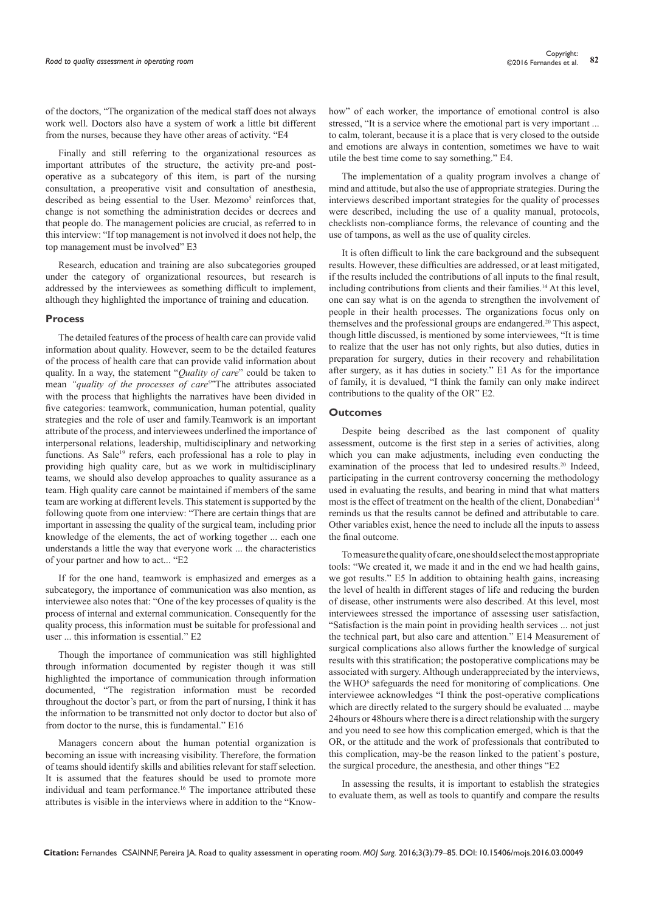of the doctors, "The organization of the medical staff does not always work well. Doctors also have a system of work a little bit different from the nurses, because they have other areas of activity. "E4

Finally and still referring to the organizational resources as important attributes of the structure, the activity pre-and postoperative as a subcategory of this item, is part of the nursing consultation, a preoperative visit and consultation of anesthesia, described as being essential to the User. Mezomo<sup>5</sup> reinforces that, change is not something the administration decides or decrees and that people do. The management policies are crucial, as referred to in this interview: "If top management is not involved it does not help, the top management must be involved" E3

Research, education and training are also subcategories grouped under the category of organizational resources, but research is addressed by the interviewees as something difficult to implement, although they highlighted the importance of training and education.

### **Process**

The detailed features of the process of health care can provide valid information about quality. However, seem to be the detailed features of the process of health care that can provide valid information about quality. In a way, the statement "*Quality of care*" could be taken to mean "quality of the processes of care<sup>5</sup>"The attributes associated with the process that highlights the narratives have been divided in five categories: teamwork, communication, human potential, quality strategies and the role of user and family.Teamwork is an important attribute of the process, and interviewees underlined the importance of interpersonal relations, leadership, multidisciplinary and networking functions. As Sale<sup>19</sup> refers, each professional has a role to play in providing high quality care, but as we work in multidisciplinary teams, we should also develop approaches to quality assurance as a team. High quality care cannot be maintained if members of the same team are working at different levels. This statement is supported by the following quote from one interview: "There are certain things that are important in assessing the quality of the surgical team, including prior knowledge of the elements, the act of working together ... each one understands a little the way that everyone work ... the characteristics of your partner and how to act... "E2

If for the one hand, teamwork is emphasized and emerges as a subcategory, the importance of communication was also mention, as interviewee also notes that: "One of the key processes of quality is the process of internal and external communication. Consequently for the quality process, this information must be suitable for professional and user ... this information is essential." E2

Though the importance of communication was still highlighted through information documented by register though it was still highlighted the importance of communication through information documented, "The registration information must be recorded throughout the doctor's part, or from the part of nursing, I think it has the information to be transmitted not only doctor to doctor but also of from doctor to the nurse, this is fundamental." E16

Managers concern about the human potential organization is becoming an issue with increasing visibility. Therefore, the formation of teams should identify skills and abilities relevant for staff selection. It is assumed that the features should be used to promote more individual and team performance.<sup>16</sup> The importance attributed these attributes is visible in the interviews where in addition to the "Knowhow" of each worker, the importance of emotional control is also stressed, "It is a service where the emotional part is very important ... to calm, tolerant, because it is a place that is very closed to the outside and emotions are always in contention, sometimes we have to wait utile the best time come to say something." E4.

The implementation of a quality program involves a change of mind and attitude, but also the use of appropriate strategies. During the interviews described important strategies for the quality of processes were described, including the use of a quality manual, protocols, checklists non-compliance forms, the relevance of counting and the use of tampons, as well as the use of quality circles.

It is often difficult to link the care background and the subsequent results. However, these difficulties are addressed, or at least mitigated, if the results included the contributions of all inputs to the final result, including contributions from clients and their families.<sup>14</sup> At this level, one can say what is on the agenda to strengthen the involvement of people in their health processes. The organizations focus only on themselves and the professional groups are endangered.<sup>20</sup> This aspect, though little discussed, is mentioned by some interviewees, "It is time to realize that the user has not only rights, but also duties, duties in preparation for surgery, duties in their recovery and rehabilitation after surgery, as it has duties in society." E1 As for the importance of family, it is devalued, "I think the family can only make indirect contributions to the quality of the OR" E2.

#### **Outcomes**

Despite being described as the last component of quality assessment, outcome is the first step in a series of activities, along which you can make adjustments, including even conducting the examination of the process that led to undesired results.20 Indeed, participating in the current controversy concerning the methodology used in evaluating the results, and bearing in mind that what matters most is the effect of treatment on the health of the client, Donabedian<sup>14</sup> reminds us that the results cannot be defined and attributable to care. Other variables exist, hence the need to include all the inputs to assess the final outcome.

To measure the quality of care, one should select the most appropriate tools: "We created it, we made it and in the end we had health gains, we got results." E5 In addition to obtaining health gains, increasing the level of health in different stages of life and reducing the burden of disease, other instruments were also described. At this level, most interviewees stressed the importance of assessing user satisfaction, "Satisfaction is the main point in providing health services ... not just the technical part, but also care and attention." E14 Measurement of surgical complications also allows further the knowledge of surgical results with this stratification; the postoperative complications may be associated with surgery. Although underappreciated by the interviews, the WHO<sup>6</sup> safeguards the need for monitoring of complications. One interviewee acknowledges "I think the post-operative complications which are directly related to the surgery should be evaluated ... maybe 24hours or 48hours where there is a direct relationship with the surgery and you need to see how this complication emerged, which is that the OR, or the attitude and the work of professionals that contributed to this complication, may-be the reason linked to the patient`s posture, the surgical procedure, the anesthesia, and other things "E2

In assessing the results, it is important to establish the strategies to evaluate them, as well as tools to quantify and compare the results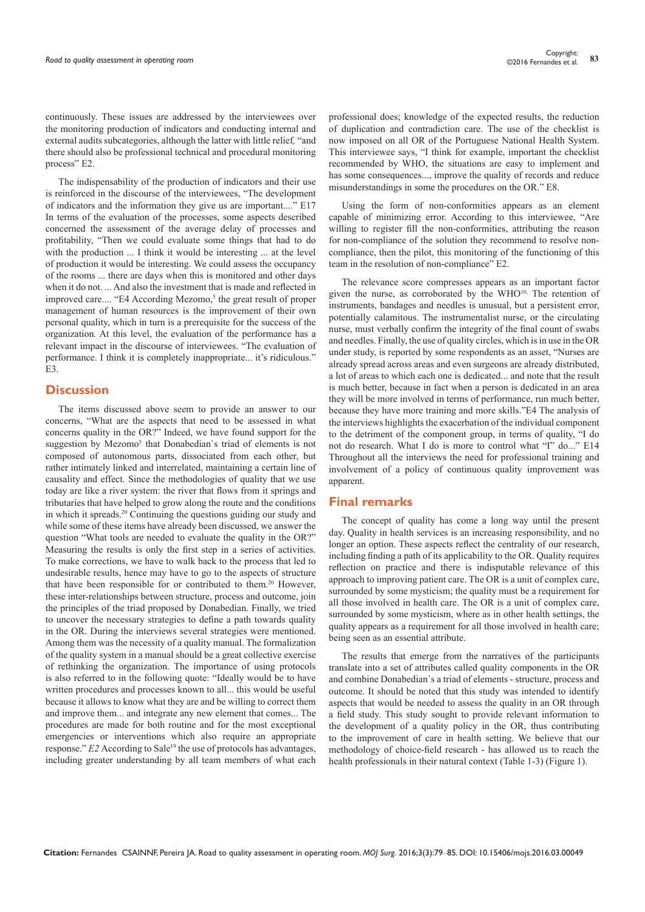continuously. These issues are addressed by the interviewees over the monitoring production of indicators and conducting internal and external audits subcategories, although the latter with little relief*,* "and there should also be professional technical and procedural monitoring process" E2.

The indispensability of the production of indicators and their use is reinforced in the discourse of the interviewees, "The development of indicators and the information they give us are important...." E17 In terms of the evaluation of the processes, some aspects described concerned the assessment of the average delay of processes and profitability, "Then we could evaluate some things that had to do with the production ... I think it would be interesting ... at the level of production it would be interesting. We could assess the occupancy of the rooms ... there are days when this is monitored and other days when it do not. ... And also the investment that is made and reflected in improved care.... "E4 According Mezomo,<sup>5</sup> the great result of proper management of human resources is the improvement of their own personal quality, which in turn is a prerequisite for the success of the organization*.* At this level, the evaluation of the performance has a relevant impact in the discourse of interviewees. "The evaluation of performance. I think it is completely inappropriate... it's ridiculous." E3.

# **Discussion**

The items discussed above seem to provide an answer to our concerns, "What are the aspects that need to be assessed in what concerns quality in the OR?" Indeed, we have found support for the suggestion by Mezomo<sup>5</sup> that Donabedian's triad of elements is not composed of autonomous parts, dissociated from each other, but rather intimately linked and interrelated, maintaining a certain line of causality and effect. Since the methodologies of quality that we use today are like a river system: the river that flows from it springs and tributaries that have helped to grow along the route and the conditions in which it spreads.<sup>20</sup> Continuing the questions guiding our study and while some of these items have already been discussed, we answer the question "What tools are needed to evaluate the quality in the OR?" Measuring the results is only the first step in a series of activities. To make corrections, we have to walk back to the process that led to undesirable results, hence may have to go to the aspects of structure that have been responsible for or contributed to them.<sup>20</sup> However, these inter-relationships between structure, process and outcome, join the principles of the triad proposed by Donabedian. Finally, we tried to uncover the necessary strategies to define a path towards quality in the OR. During the interviews several strategies were mentioned. Among them was the necessity of a quality manual. The formalization of the quality system in a manual should be a great collective exercise of rethinking the organization. The importance of using protocols is also referred to in the following quote: "Ideally would be to have written procedures and processes known to all... this would be useful because it allows to know what they are and be willing to correct them and improve them... and integrate any new element that comes... The procedures are made for both routine and for the most exceptional emergencies or interventions which also require an appropriate response." *E2* According to Sale<sup>19</sup> the use of protocols has advantages, including greater understanding by all team members of what each professional does; knowledge of the expected results, the reduction of duplication and contradiction care. The use of the checklist is now imposed on all OR of the Portuguese National Health System. This interviewee says, "I think for example, important the checklist recommended by WHO, the situations are easy to implement and has some consequences..., improve the quality of records and reduce misunderstandings in some the procedures on the OR." E8.

Using the form of non-conformities appears as an element capable of minimizing error. According to this interviewee, "Are willing to register fill the non-conformities, attributing the reason for non-compliance of the solution they recommend to resolve noncompliance, then the pilot, this monitoring of the functioning of this team in the resolution of non-compliance" E2.

The relevance score compresses appears as an important factor given the nurse, as corroborated by the WHO<sup>10,</sup> The retention of instruments, bandages and needles is unusual, but a persistent error, potentially calamitous. The instrumentalist nurse, or the circulating nurse, must verbally confirm the integrity of the final count of swabs and needles. Finally, the use of quality circles, which is in use in the OR under study, is reported by some respondents as an asset, "Nurses are already spread across areas and even surgeons are already distributed, a lot of areas to which each one is dedicated... and note that the result is much better, because in fact when a person is dedicated in an area they will be more involved in terms of performance, run much better, because they have more training and more skills."E4 The analysis of the interviews highlights the exacerbation of the individual component to the detriment of the component group, in terms of quality, "I do not do research. What I do is more to control what "I" do..." E14 Throughout all the interviews the need for professional training and involvement of a policy of continuous quality improvement was apparent

# **Final remarks**

The concept of quality has come a long way until the present day. Quality in health services is an increasing responsibility, and no longer an option. These aspects reflect the centrality of our research, including finding a path of its applicability to the OR. Quality requires reflection on practice and there is indisputable relevance of this approach to improving patient care. The OR is a unit of complex care, surrounded by some mysticism; the quality must be a requirement for all those involved in health care. The OR is a unit of complex care, surrounded by some mysticism, where as in other health settings, the quality appears as a requirement for all those involved in health care; being seen as an essential attribute.

The results that emerge from the narratives of the participants translate into a set of attributes called quality components in the OR and combine Donabedian`s a triad of elements - structure, process and outcome. It should be noted that this study was intended to identify aspects that would be needed to assess the quality in an OR through a field study. This study sought to provide relevant information to the development of a quality policy in the OR, thus contributing to the improvement of care in health setting. We believe that our methodology of choice-field research - has allowed us to reach the health professionals in their natural context (Table 1-3) (Figure 1).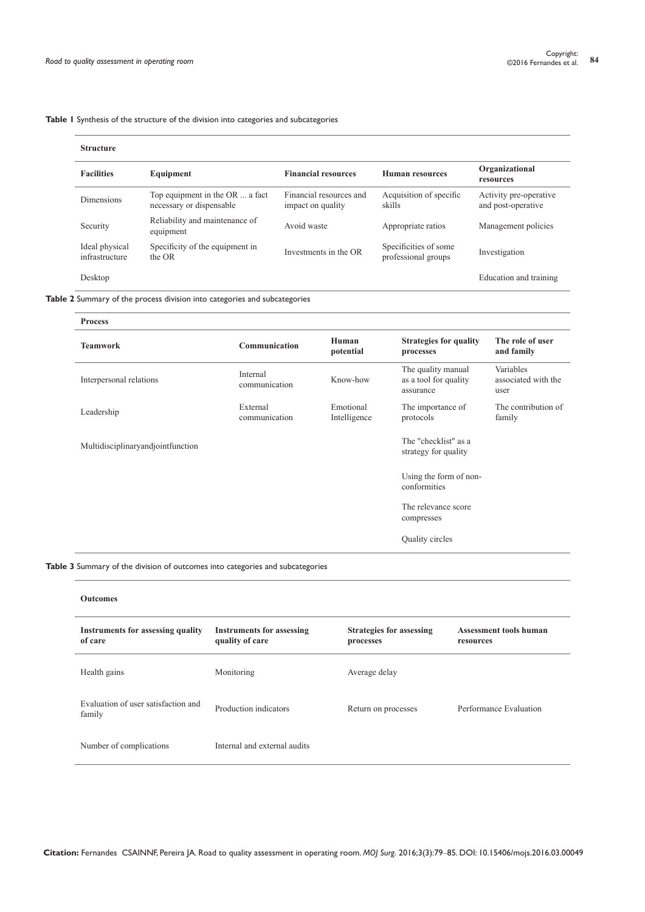**Table 1** Synthesis of the structure of the division into categories and subcategories

| <b>Structure</b>                 |                                                             |                                              |                                              |                                              |
|----------------------------------|-------------------------------------------------------------|----------------------------------------------|----------------------------------------------|----------------------------------------------|
| <b>Facilities</b>                | Equipment                                                   | <b>Financial resources</b>                   | <b>Human</b> resources                       | Organizational<br>resources                  |
| <b>Dimensions</b>                | Top equipment in the OR  a fact<br>necessary or dispensable | Financial resources and<br>impact on quality | Acquisition of specific<br>skills            | Activity pre-operative<br>and post-operative |
| Security                         | Reliability and maintenance of<br>equipment                 | Avoid waste                                  | Appropriate ratios                           | Management policies                          |
| Ideal physical<br>infrastructure | Specificity of the equipment in<br>the OR                   | Investments in the OR                        | Specificities of some<br>professional groups | Investigation                                |
| Desktop                          |                                                             |                                              |                                              | Education and training                       |

**Table 2** Summary of the process division into categories and subcategories

| <b>Process</b>                    |                           |                           |                                                          |                                          |  |  |  |
|-----------------------------------|---------------------------|---------------------------|----------------------------------------------------------|------------------------------------------|--|--|--|
| <b>Teamwork</b>                   | Communication             | Human<br>potential        | <b>Strategies for quality</b><br>processes               | The role of user<br>and family           |  |  |  |
| Interpersonal relations           | Internal<br>communication | Know-how                  | The quality manual<br>as a tool for quality<br>assurance | Variables<br>associated with the<br>user |  |  |  |
| Leadership                        | External<br>communication | Emotional<br>Intelligence | The importance of<br>protocols                           | The contribution of<br>family            |  |  |  |
| Multidisciplinaryandjointfunction |                           |                           | The "checklist" as a<br>strategy for quality             |                                          |  |  |  |
|                                   |                           |                           | Using the form of non-<br>conformities                   |                                          |  |  |  |
|                                   |                           |                           | The relevance score<br>compresses                        |                                          |  |  |  |
|                                   |                           |                           | Quality circles                                          |                                          |  |  |  |

**Table 3** Summary of the division of outcomes into categories and subcategories

## **Outcomes**

| Instruments for assessing quality<br>of care  | <b>Instruments for assessing</b><br>quality of care | <b>Strategies for assessing</b><br>processes | Assessment tools human<br>resources |
|-----------------------------------------------|-----------------------------------------------------|----------------------------------------------|-------------------------------------|
| Health gains                                  | Monitoring                                          | Average delay                                |                                     |
| Evaluation of user satisfaction and<br>family | Production indicators                               | Return on processes                          | Performance Evaluation              |
| Number of complications                       | Internal and external audits                        |                                              |                                     |